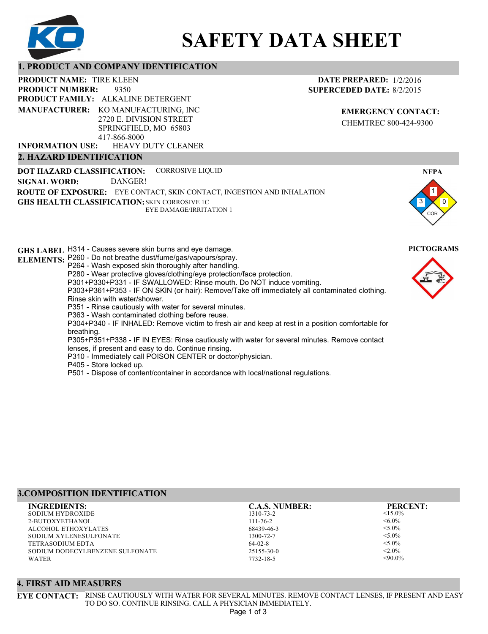

# **SAFETY DATA SHEET**

## **1. PRODUCT AND COMPANY IDENTIFICATION**

9350 **PRODUCT NAME: TIRE KLEEN PRODUCT FAMILY: ALKALINE DETERGENT** HEAVY DUTY CLEANER **PRODUCT NUMBER: MANUFACTURER:** KO MANUFACTURING, INC 2720 E. DIVISION STREET SPRINGFIELD, MO 65803 417-866-8000 **INFORMATION USE:**

## **2. HAZARD IDENTIFICATION**

**DOT HAZARD CLASSIFICATION: GHS HEALTH CLASSIFICATION:** SKIN CORROSIVE 1C **ROUTE OF EXPOSURE:** EYE CONTACT, SKIN CONTACT, INGESTION AND INHALATION CORROSIVE LIQUID EYE DAMAGE/IRRITATION 1 **SIGNAL WORD:** DANGER!

**GHS LABEL**  H314 - Causes severe skin burns and eye damage. **PICTOGRAMS ELEMENTS:** P260 - Do not breathe dust/fume/gas/vapours/spray. P264 - Wash exposed skin thoroughly after handling. P280 - Wear protective gloves/clothing/eye protection/face protection. P301+P330+P331 - IF SWALLOWED: Rinse mouth. Do NOT induce vomiting. P303+P361+P353 - IF ON SKIN (or hair): Remove/Take off immediately all contaminated clothing. Rinse skin with water/shower. P351 - Rinse cautiously with water for several minutes. P363 - Wash contaminated clothing before reuse. P304+P340 - IF INHALED: Remove victim to fresh air and keep at rest in a position comfortable for breathing. P305+P351+P338 - IF IN EYES: Rinse cautiously with water for several minutes. Remove contact lenses, if present and easy to do. Continue rinsing. P310 - Immediately call POISON CENTER or doctor/physician. P405 - Store locked up. P501 - Dispose of content/container in accordance with local/national regulations.

## **3.COMPOSITION IDENTIFICATION**

SODIUM HYDROXIDE 2-BUTOXYETHANOL ALCOHOL ETHOXYLATES SODIUM XYLENESULFONATE TETRASODIUM EDTA SODIUM DODECYLBENZENE SULFONATE **WATER INGREDIENTS: C.A.S. NUMBER: PERCENT:**

**4. FIRST AID MEASURES**

1310-73-2 111-76-2 68439-46-3 1300-72-7 64-02-8 25155-30-0

7732-18-5

 $<15.0%$  $<6.0\%$  $< 5.0\%$  $<$ 5.0%  $< 5.0\%$  $< 2.0\%$ 

 $<90.0\%$ 

3

1 0

**NFPA**

COR



**DATE PREPARED:** 1/2/2016 **SUPERCEDED DATE:** 8/2/2015

> **EMERGENCY CONTACT:** CHEMTREC 800-424-9300

TO DO SO. CONTINUE RINSING. CALL A PHYSICIAN IMMEDIATELY. Page 1 of 3

**EYE CONTACT:** RINSE CAUTIOUSLY WITH WATER FOR SEVERAL MINUTES. REMOVE CONTACT LENSES, IF PRESENT AND EASY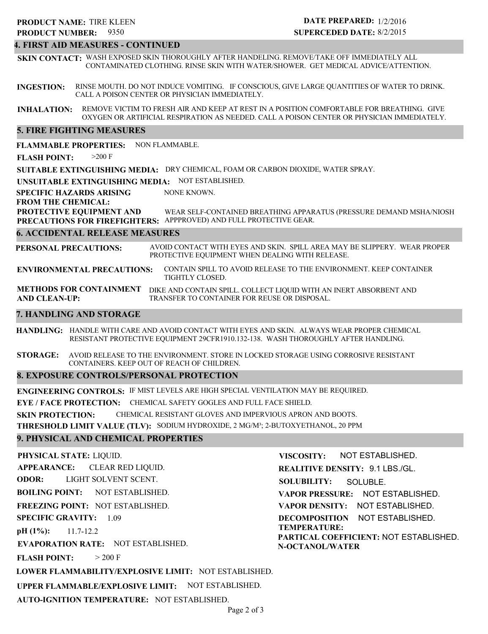## 9350 **PRODUCT NUMBER: PRODUCT NAME: TIRE KLEEN**

## **DATE PREPARED:** 1/2/2016 **SUPERCEDED DATE:** 8/2/2015

## **4. FIRST AID MEASURES - CONTINUED**

**SKIN CONTACT:** WASH EXPOSED SKIN THOROUGHLY AFTER HANDELING. REMOVE/TAKE OFF IMMEDIATELY ALL CONTAMINATED CLOTHING. RINSE SKIN WITH WATER/SHOWER. GET MEDICAL ADVICE/ATTENTION.

**INGESTION:** RINSE MOUTH. DO NOT INDUCE VOMITING. IF CONSCIOUS, GIVE LARGE QUANTITIES OF WATER TO DRINK. CALL A POISON CENTER OR PHYSICIAN IMMEDIATELY.

**INHALATION:** REMOVE VICTIM TO FRESH AIR AND KEEP AT REST IN A POSITION COMFORTABLE FOR BREATHING. GIVE OXYGEN OR ARTIFICIAL RESPIRATION AS NEEDED. CALL A POISON CENTER OR PHYSICIAN IMMEDIATELY.

## **5. FIRE FIGHTING MEASURES**

**FLAMMABLE PROPERTIES:** NON FLAMMABLE.

**FLASH POINT:** >200 F

**SUITABLE EXTINGUISHING MEDIA:** DRY CHEMICAL, FOAM OR CARBON DIOXIDE, WATER SPRAY.

**UNSUITABLE EXTINGUISHING MEDIA:** NOT ESTABLISHED.

**SPECIFIC HAZARDS ARISING** NONE KNOWN.

**FROM THE CHEMICAL:**

**PROTECTIVE EQUIPMENT AND PRECAUTIONS FOR FIREFIGHTERS:** APPPROVED) AND FULL PROTECTIVE GEAR. WEAR SELF-CONTAINED BREATHING APPARATUS (PRESSURE DEMAND MSHA/NIOSH

## **6. ACCIDENTAL RELEASE MEASURES**

**PERSONAL PRECAUTIONS:** AVOID CONTACT WITH EYES AND SKIN. SPILL AREA MAY BE SLIPPERY. WEAR PROPER PROTECTIVE EQUIPMENT WHEN DEALING WITH RELEASE.

**ENVIRONMENTAL PRECAUTIONS:** CONTAIN SPILL TO AVOID RELEASE TO THE ENVIRONMENT. KEEP CONTAINER TIGHTLY CLOSED.

**METHODS FOR CONTAINMENT** DIKE AND CONTAIN SPILL. COLLECT LIQUID WITH AN INERT ABSORBENT AND **AND CLEAN-UP:** TRANSFER TO CONTAINER FOR REUSE OR DISPOSAL.

## **7. HANDLING AND STORAGE**

**HANDLING:** HANDLE WITH CARE AND AVOID CONTACT WITH EYES AND SKIN. ALWAYS WEAR PROPER CHEMICAL RESISTANT PROTECTIVE EQUIPMENT 29CFR1910.132-138. WASH THOROUGHLY AFTER HANDLING.

**STORAGE:** AVOID RELEASE TO THE ENVIRONMENT. STORE IN LOCKED STORAGE USING CORROSIVE RESISTANT CONTAINERS. KEEP OUT OF REACH OF CHILDREN.

## **8. EXPOSURE CONTROLS/PERSONAL PROTECTION**

**ENGINEERING CONTROLS:** IF MIST LEVELS ARE HIGH SPECIAL VENTILATION MAY BE REQUIRED.

**EYE / FACE PROTECTION:** CHEMICAL SAFETY GOGLES AND FULL FACE SHIELD.

**SKIN PROTECTION:** CHEMICAL RESISTANT GLOVES AND IMPERVIOUS APRON AND BOOTS.

**THRESHOLD LIMIT VALUE (TLV):** SODIUM HYDROXIDE, 2 MG/M³; 2-BUTOXYETHANOL, 20 PPM

## **9. PHYSICAL AND CHEMICAL PROPERTIES**

**PHYSICAL STATE:** LIQUID. **APPEARANCE: ODOR: BOILING POINT: FREEZING POINT:** NOT ESTABLISHED. **SPECIFIC GRAVITY:** 1.09 **pH (1%): EVAPORATION RATE:** NOT ESTABLISHED. **FLASH POINT: LOWER FLAMMABILITY/EXPLOSIVE LIMIT:** NOT ESTABLISHED. **UPPER FLAMMABLE/EXPLOSIVE LIMIT:** NOT ESTABLISHED. NOT ESTABLISHED. 11.7-12.2  $> 200 F$ CLEAR RED LIQUID. LIGHT SOLVENT SCENT.

**AUTO-IGNITION TEMPERATURE:** NOT ESTABLISHED.

**VISCOSITY: REALITIVE DENSITY:** 9.1 LBS./GL. **SOLUBILITY: VAPOR PRESSURE:** NOT ESTABLISHED. **VAPOR DENSITY:** NOT ESTABLISHED. **DECOMPOSITION** NOT ESTABLISHED. **TEMPERATURE: PARTICAL COEFFICIENT:** NOT ESTABLISHED. **N-OCTANOL/WATER** NOT ESTABLISHED. SOLUBLE.